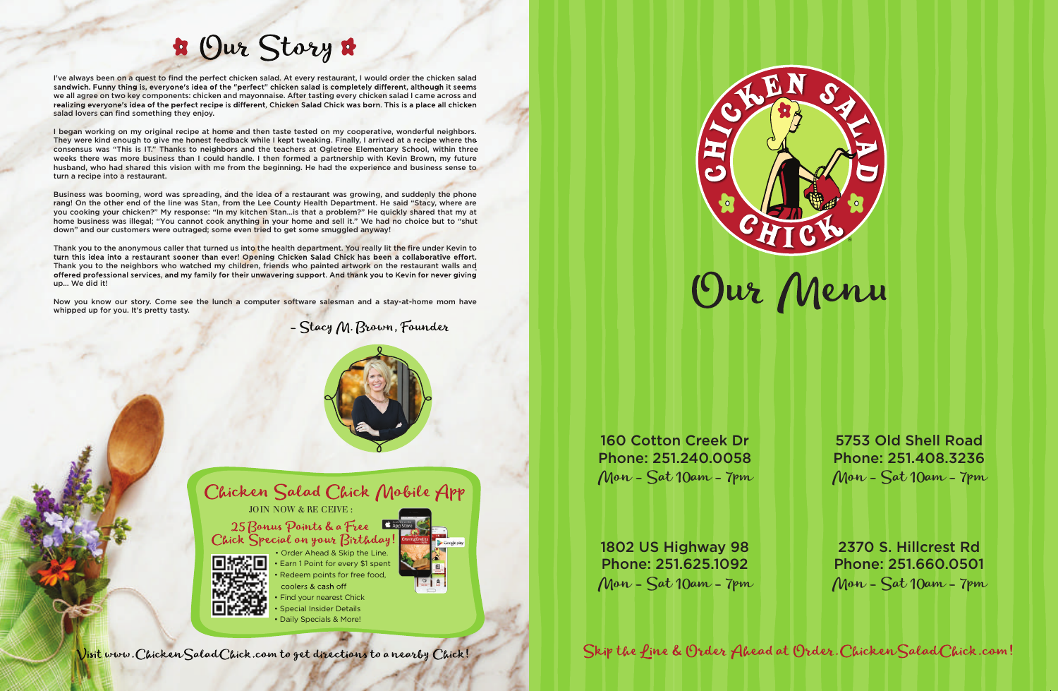



Find your nearest Chick • Special Insider Details

• Daily Specials & More!



## **\*** Our Story \*

I've always been on a quest to find the perfect chicken salad. At every restaurant, I would order the chicken salad sandwich. Funny thing is, everyone's idea of the "perfect" chicken salad is completely different, although it seems we all agree on two key components: chicken and mayonnaise. After tasting every chicken salad I came across and realizing everyone's idea of the perfect recipe is different, Chicken Salad Chick was born. This is a place all chicken salad lovers can find something they enjoy.

I began working on my original recipe at home and then taste tested on my cooperative, wonderful neighbors. They were kind enough to give me honest feedback while I kept tweaking. Finally, I arrived at a recipe where the consensus was "This is IT." Thanks to neighbors and the teachers at Ogletree Elementary School, within three weeks there was more business than I could handle. I then formed a partnership with Kevin Brown, my future husband, who had shared this vision with me from the beginning. He had the experience and business sense to turn a recipe into a restaurant.

Business was booming, word was spreading, and the idea of a restaurant was growing, and suddenly the phone rang! On the other end of the line was Stan, from the Lee County Health Department. He said "Stacy, where are you cooking your chicken?" My response: "In my kitchen Stan…is that a problem?" He quickly shared that my at home business was illegal; "You cannot cook anything in your home and sell it." We had no choice but to "shut down" and our customers were outraged; some even tried to get some smuggled anyway!

Thank you to the anonymous caller that turned us into the health department. You really lit the fire under Kevin to turn this idea into a restaurant sooner than ever! Opening Chicken Salad Chick has been a collaborative effort. Thank you to the neighbors who watched my children, friends who painted artwork on the restaurant walls and offered professional services, and my family for their unwavering support. And thank you to Kevin for never giving up… We did it!

Now you know our story. Come see the lunch a computer software salesman and a stay-at-home mom have whipped up for you. It's pretty tasty.

> • Order Ahead & Skip the Line. • Earn 1 Point for every \$1 spent Redeem points for free food, coolers & cash off

- Stacy M. Brown, Founder





Chicken Salad Chick Mobile App JOIN NOW & RE CEIVE :

25 Bonus Points & a Free Chick Special on your Birthday!



160 Cotton Creek Dr Phone: 251.240.0058 Mon - Sat 10am - 7pm

5753 Old Shell Road Phone: 251.408.3236 Mon - Sat 10am - 7pm

1802 US Highway 98 Phone: 251.625.1092 Mon - Sat 10am - 7pm

Skip the fine & Order Ahead at Order. Chicken Salad Chick.com!

2370 S. Hillcrest Rd Phone: 251.660.0501 Mon - Sat 10am - 7pm